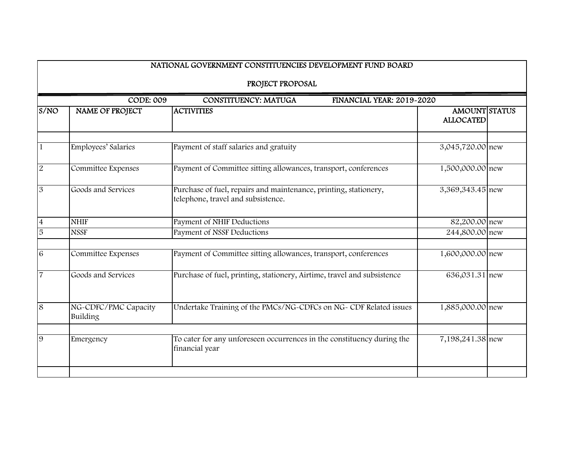|                | NATIONAL GOVERNMENT CONSTITUENCIES DEVELOPMENT FUND BOARD |                                                                                                        |                                          |  |  |  |
|----------------|-----------------------------------------------------------|--------------------------------------------------------------------------------------------------------|------------------------------------------|--|--|--|
|                | PROJECT PROPOSAL                                          |                                                                                                        |                                          |  |  |  |
|                | <b>CODE: 009</b>                                          | <b>CONSTITUENCY: MATUGA</b><br>FINANCIAL YEAR: 2019-2020                                               |                                          |  |  |  |
| S/NO           | <b>NAME OF PROJECT</b>                                    | <b>ACTIVITIES</b>                                                                                      | <b>AMOUNT STATUS</b><br><b>ALLOCATED</b> |  |  |  |
| $\mathbf{1}$   | Employees' Salaries                                       | Payment of staff salaries and gratuity                                                                 | 3,045,720.00 new                         |  |  |  |
| $\sqrt{2}$     | Committee Expenses                                        | Payment of Committee sitting allowances, transport, conferences                                        | 1,500,000.00 new                         |  |  |  |
| $\mathfrak{B}$ | Goods and Services                                        | Purchase of fuel, repairs and maintenance, printing, stationery,<br>telephone, travel and subsistence. | 3,369,343.45 new                         |  |  |  |
| $\overline{4}$ | <b>NHIF</b>                                               | Payment of NHIF Deductions                                                                             | 82,200.00 new                            |  |  |  |
| $\overline{5}$ | <b>NSSF</b>                                               | <b>Payment of NSSF Deductions</b>                                                                      | 244,800.00 new                           |  |  |  |
| $\sqrt{6}$     | Committee Expenses                                        | Payment of Committee sitting allowances, transport, conferences                                        | 1,600,000.00 new                         |  |  |  |
| $\overline{7}$ | Goods and Services                                        | Purchase of fuel, printing, stationery, Airtime, travel and subsistence                                | 636,031.31 new                           |  |  |  |
| 8              | NG-CDFC/PMC Capacity<br>Building                          | Undertake Training of the PMCs/NG-CDFCs on NG- CDF Related issues                                      | 1,885,000.00 new                         |  |  |  |
| 9              | Emergency                                                 | To cater for any unforeseen occurrences in the constituency during the<br>financial year               | 7,198,241.38 new                         |  |  |  |
|                |                                                           |                                                                                                        |                                          |  |  |  |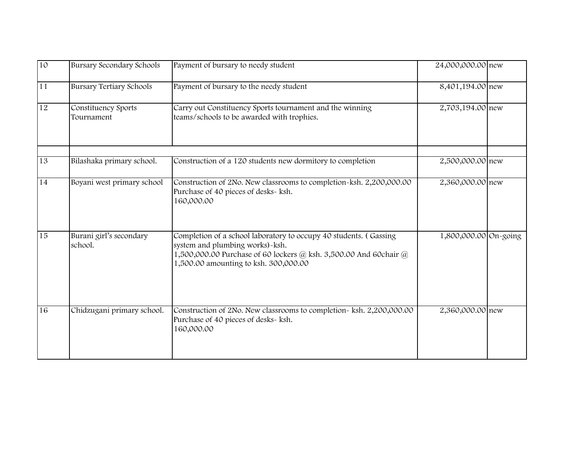| 10              | <b>Bursary Secondary Schools</b>   | Payment of bursary to needy student                                                                                                                                                                                | 24,000,000.00 new     |  |
|-----------------|------------------------------------|--------------------------------------------------------------------------------------------------------------------------------------------------------------------------------------------------------------------|-----------------------|--|
| 11              | <b>Bursary Tertiary Schools</b>    | Payment of bursary to the needy student                                                                                                                                                                            | 8,401,194.00 new      |  |
| $\overline{12}$ | Constituency Sports<br>Tournament  | Carry out Constituency Sports tournament and the winning<br>teams/schools to be awarded with trophies.                                                                                                             | 2,703,194.00 new      |  |
| 13              | Bilashaka primary school.          | Construction of a 120 students new dormitory to completion                                                                                                                                                         | 2,500,000.00 new      |  |
| 14              | Boyani west primary school         | Construction of 2No. New classrooms to completion-ksh. 2,200,000.00<br>Purchase of 40 pieces of desks- ksh.<br>160,000.00                                                                                          | 2,360,000.00 new      |  |
| $\overline{15}$ | Burani girl's secondary<br>school. | Completion of a school laboratory to occupy 40 students. (Gassing<br>system and plumbing works)-ksh.<br>1,500,000.00 Purchase of 60 lockers @ ksh. 3,500.00 And 60chair @<br>1,500.00 amounting to ksh. 300,000.00 | 1,800,000.00 On-going |  |
| 16              | Chidzugani primary school.         | Construction of 2No. New classrooms to completion- ksh. 2,200,000.00<br>Purchase of 40 pieces of desks- ksh.<br>160,000.00                                                                                         | 2,360,000.00 new      |  |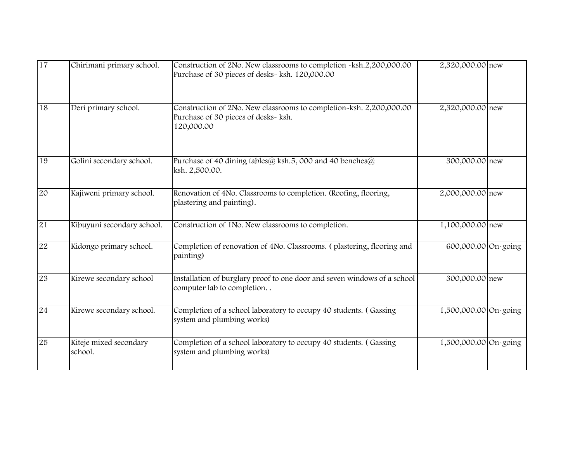| 17 | Chirimani primary school.         | Construction of 2No. New classrooms to completion ~ksh.2,200,000.00<br>Purchase of 30 pieces of desks- ksh. 120,000.00    | 2,320,000.00 new      |  |
|----|-----------------------------------|---------------------------------------------------------------------------------------------------------------------------|-----------------------|--|
| 18 | Deri primary school.              | Construction of 2No. New classrooms to completion~ksh. 2,200,000.00<br>Purchase of 30 pieces of desks- ksh.<br>120,000.00 | 2,320,000.00 new      |  |
| 19 | Golini secondary school.          | Purchase of 40 dining tables@ ksh.5, 000 and 40 benches@<br>ksh. 2,500.00.                                                | 300,000.00 new        |  |
| 20 | Kajiweni primary school.          | Renovation of 4No. Classrooms to completion. (Roofing, flooring,<br>plastering and painting).                             | 2,000,000.00 new      |  |
| 21 | Kibuyuni secondary school.        | Construction of 1No. New classrooms to completion.                                                                        | 1,100,000.00 new      |  |
| 22 | Kidongo primary school.           | Completion of renovation of 4No. Classrooms. (plastering, flooring and<br>painting)                                       | 600,000.00 On-going   |  |
| 23 | Kirewe secondary school           | Installation of burglary proof to one door and seven windows of a school<br>computer lab to completion                    | 300,000.00 new        |  |
| 24 | Kirewe secondary school.          | Completion of a school laboratory to occupy 40 students. (Gassing<br>system and plumbing works)                           | 1,500,000.00 On-going |  |
| 25 | Kiteje mixed secondary<br>school. | Completion of a school laboratory to occupy 40 students. (Gassing<br>system and plumbing works)                           | 1,500,000.00 On-going |  |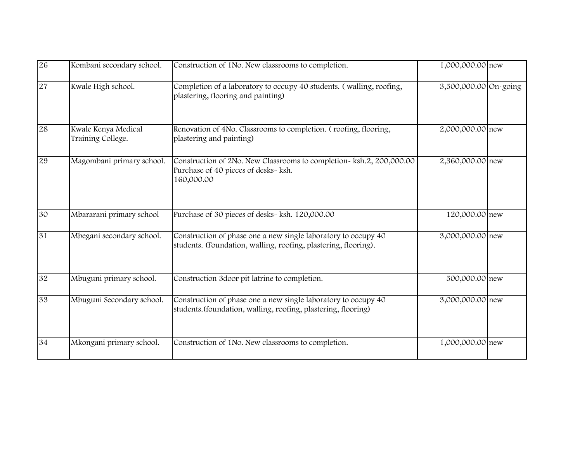| 26 | Kombani secondary school.                | Construction of 1No. New classrooms to completion.                                                                                | 1,000,000.00 new      |  |
|----|------------------------------------------|-----------------------------------------------------------------------------------------------------------------------------------|-----------------------|--|
| 27 | Kwale High school.                       | Completion of a laboratory to occupy 40 students. (walling, roofing,<br>plastering, flooring and painting)                        | 3,500,000.00 On-going |  |
| 28 | Kwale Kenya Medical<br>Training College. | Renovation of 4No. Classrooms to completion. (roofing, flooring,<br>plastering and painting)                                      | 2,000,000.00 new      |  |
| 29 | Magombani primary school.                | Construction of 2No. New Classrooms to completion- ksh.2, 200,000.00<br>Purchase of 40 pieces of desks- ksh.<br>160,000.00        | 2,360,000.00 new      |  |
| 30 | Mbararani primary school                 | Purchase of 30 pieces of desks- ksh. 120,000.00                                                                                   | 120,000.00 new        |  |
| 31 | Mbegani secondary school.                | Construction of phase one a new single laboratory to occupy 40<br>students. (Foundation, walling, roofing, plastering, flooring). | 3,000,000.00 new      |  |
| 32 | Mbuguni primary school.                  | Construction 3door pit latrine to completion.                                                                                     | 500,000.00 new        |  |
| 33 | Mbuguni Secondary school.                | Construction of phase one a new single laboratory to occupy 40<br>students. (foundation, walling, roofing, plastering, flooring)  | 3,000,000.00 new      |  |
| 34 | Mkongani primary school.                 | Construction of 1No. New classrooms to completion.                                                                                | 1,000,000.00 new      |  |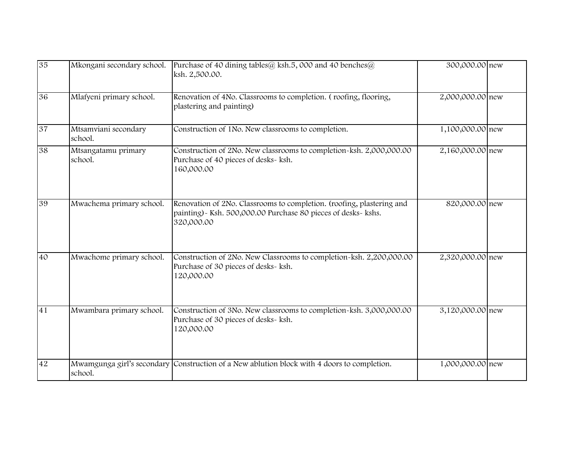| 35              | Mkongani secondary school.      | Purchase of 40 dining tables@ ksh.5, 000 and 40 benches@<br>ksh. 2,500.00.                                                                            | 300,000.00 new   |  |
|-----------------|---------------------------------|-------------------------------------------------------------------------------------------------------------------------------------------------------|------------------|--|
| 36              | Mlafyeni primary school.        | Renovation of 4No. Classrooms to completion. (roofing, flooring,<br>plastering and painting)                                                          | 2,000,000.00 new |  |
| 37              | Mtsamviani secondary<br>school. | Construction of 1No. New classrooms to completion.                                                                                                    | 1,100,000.00 new |  |
| 38              | Mtsangatamu primary<br>school.  | Construction of 2No. New classrooms to completion-ksh. 2,000,000.00<br>Purchase of 40 pieces of desks- ksh.<br>160,000.00                             | 2,160,000.00 new |  |
| 39              | Mwachema primary school.        | Renovation of 2No. Classrooms to completion. (roofing, plastering and<br>painting) - Ksh. 500,000.00 Purchase 80 pieces of desks- kshs.<br>320,000.00 | 820,000.00 new   |  |
| $\overline{40}$ | Mwachome primary school.        | Construction of 2No. New Classrooms to completion-ksh. 2,200,000.00<br>Purchase of 30 pieces of desks- ksh.<br>120,000.00                             | 2,320,000.00 new |  |
| 41              | Mwambara primary school.        | Construction of 3No. New classrooms to completion-ksh. 3,000,000.00<br>Purchase of 30 pieces of desks- ksh.<br>120,000.00                             | 3,120,000.00 new |  |
| 42              | school.                         | Mwamgunga girl's secondary Construction of a New ablution block with 4 doors to completion.                                                           | 1,000,000.00 new |  |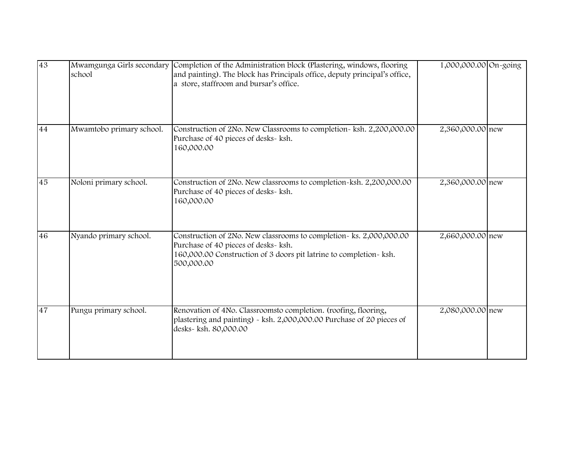| 43 | Mwamgunga Girls secondary<br>school | Completion of the Administration block (Plastering, windows, flooring<br>and painting). The block has Principals office, deputy principal's office,<br>a store, staffroom and bursar's office.  | 1,000,000.00 On-going |  |
|----|-------------------------------------|-------------------------------------------------------------------------------------------------------------------------------------------------------------------------------------------------|-----------------------|--|
| 44 | Mwamtobo primary school.            | Construction of 2No. New Classrooms to completion- ksh. 2,200,000.00<br>Purchase of 40 pieces of desks- ksh.<br>160,000.00                                                                      | 2,360,000.00 new      |  |
| 45 | Noloni primary school.              | Construction of 2No. New classrooms to completion~ksh. 2,200,000.00<br>Purchase of 40 pieces of desks- ksh.<br>160,000.00                                                                       | 2,360,000.00 new      |  |
| 46 | Nyando primary school.              | Construction of 2No. New classrooms to completion~ ks. 2,000,000.00<br>Purchase of 40 pieces of desks- ksh.<br>160,000.00 Construction of 3 doors pit latrine to completion- ksh.<br>500,000.00 | 2,660,000.00 new      |  |
| 47 | Pungu primary school.               | Renovation of 4No. Classroomsto completion. (roofing, flooring,<br>plastering and painting) - ksh. 2,000,000.00 Purchase of 20 pieces of<br>desks- ksh. 80,000.00                               | 2,080,000.00 new      |  |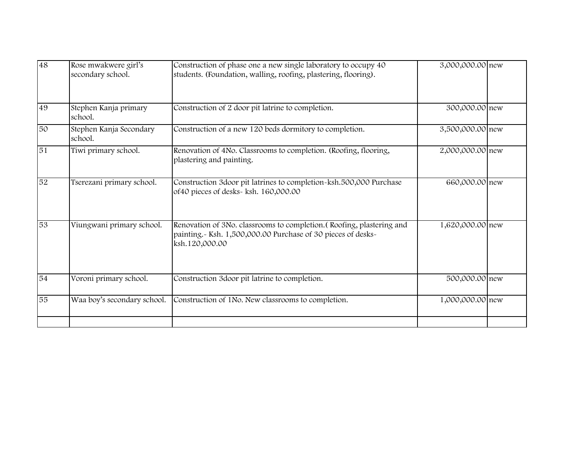| 48 | Rose mwakwere girl's<br>secondary school. | Construction of phase one a new single laboratory to occupy 40<br>students. (Foundation, walling, roofing, plastering, flooring).                       | 3,000,000.00 new |  |
|----|-------------------------------------------|---------------------------------------------------------------------------------------------------------------------------------------------------------|------------------|--|
| 49 | Stephen Kanja primary<br>school.          | Construction of 2 door pit latrine to completion.                                                                                                       | 300,000.00 new   |  |
| 50 | Stephen Kanja Secondary<br>school.        | Construction of a new 120 beds dormitory to completion.                                                                                                 | 3,500,000.00 new |  |
| 51 | Tiwi primary school.                      | Renovation of 4No. Classrooms to completion. (Roofing, flooring,<br>plastering and painting.                                                            | 2,000,000.00 new |  |
| 52 | Tserezani primary school.                 | Construction 3door pit latrines to completion-ksh.500,000 Purchase<br>of 40 pieces of desks- ksh. 160,000.00                                            | 660,000.00 new   |  |
| 53 | Viungwani primary school.                 | Renovation of 3No. classrooms to completion. (Roofing, plastering and<br>painting.~ Ksh. 1,500,000.00 Purchase of 30 pieces of desks~<br>ksh.120,000.00 | 1,620,000.00 new |  |
| 54 | Voroni primary school.                    | Construction 3door pit latrine to completion.                                                                                                           | 500,000.00 new   |  |
| 55 | Waa boy's secondary school.               | Construction of 1No. New classrooms to completion.                                                                                                      | 1,000,000.00 new |  |
|    |                                           |                                                                                                                                                         |                  |  |